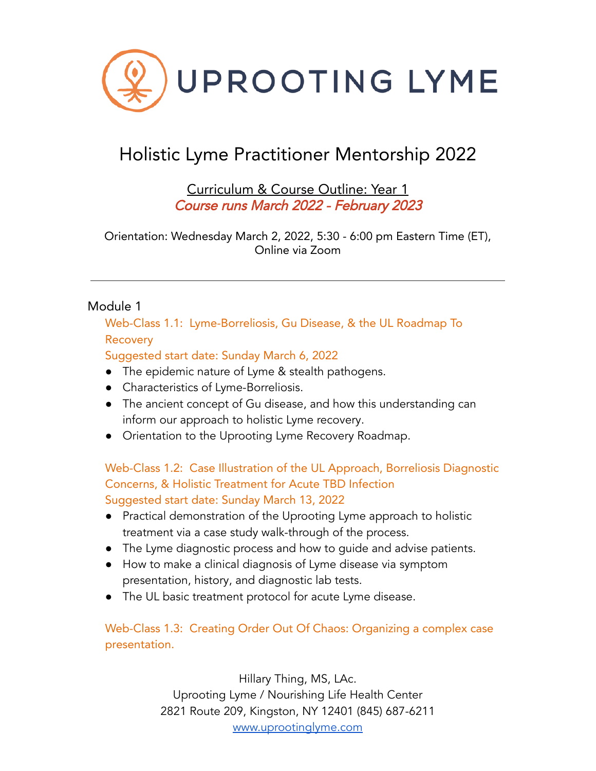

# Holistic Lyme Practitioner Mentorship 2022

Curriculum & Course Outline: Year 1 Course runs March 2022 - February 2023

Orientation: Wednesday March 2, 2022, 5:30 - 6:00 pm Eastern Time (ET), Online via Zoom

### Module 1

Web-Class 1.1: Lyme-Borreliosis, Gu Disease, & the UL Roadmap To Recovery

Suggested start date: Sunday March 6, 2022

- The epidemic nature of Lyme & stealth pathogens.
- Characteristics of Lyme-Borreliosis.
- The ancient concept of Gu disease, and how this understanding can inform our approach to holistic Lyme recovery.
- Orientation to the Uprooting Lyme Recovery Roadmap.

# Web-Class 1.2: Case Illustration of the UL Approach, Borreliosis Diagnostic Concerns, & Holistic Treatment for Acute TBD Infection Suggested start date: Sunday March 13, 2022

- Practical demonstration of the Uprooting Lyme approach to holistic treatment via a case study walk-through of the process.
- The Lyme diagnostic process and how to guide and advise patients.
- How to make a clinical diagnosis of Lyme disease via symptom presentation, history, and diagnostic lab tests.
- The UL basic treatment protocol for acute Lyme disease.

Web-Class 1.3: Creating Order Out Of Chaos: Organizing a complex case presentation.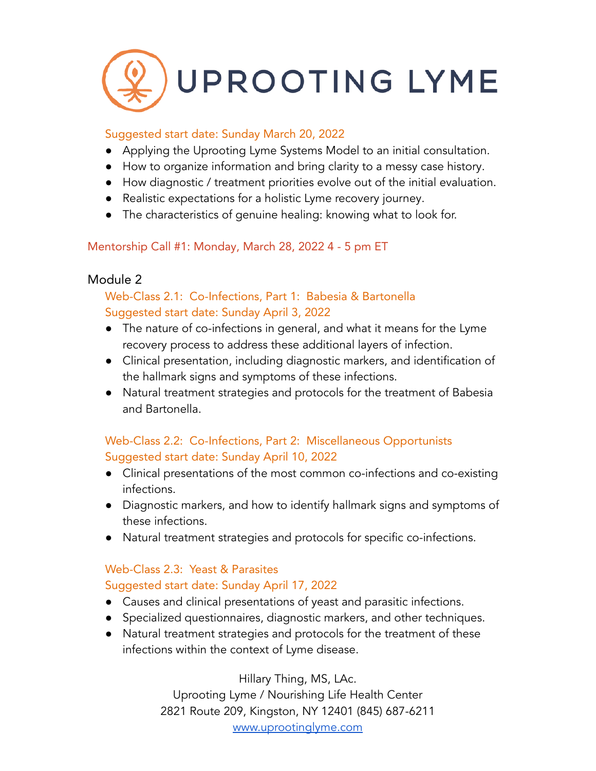

### Suggested start date: Sunday March 20, 2022

- Applying the Uprooting Lyme Systems Model to an initial consultation.
- How to organize information and bring clarity to a messy case history.
- How diagnostic / treatment priorities evolve out of the initial evaluation.
- Realistic expectations for a holistic Lyme recovery journey.
- The characteristics of genuine healing: knowing what to look for.

### Mentorship Call #1: Monday, March 28, 2022 4 - 5 pm ET

### Module 2

# Web-Class 2.1: Co-Infections, Part 1: Babesia & Bartonella Suggested start date: Sunday April 3, 2022

- The nature of co-infections in general, and what it means for the Lyme recovery process to address these additional layers of infection.
- Clinical presentation, including diagnostic markers, and identification of the hallmark signs and symptoms of these infections.
- Natural treatment strategies and protocols for the treatment of Babesia and Bartonella.

# Web-Class 2.2: Co-Infections, Part 2: Miscellaneous Opportunists Suggested start date: Sunday April 10, 2022

- Clinical presentations of the most common co-infections and co-existing infections.
- Diagnostic markers, and how to identify hallmark signs and symptoms of these infections.
- Natural treatment strategies and protocols for specific co-infections.

# Web-Class 2.3: Yeast & Parasites

# Suggested start date: Sunday April 17, 2022

- Causes and clinical presentations of yeast and parasitic infections.
- Specialized questionnaires, diagnostic markers, and other techniques.
- Natural treatment strategies and protocols for the treatment of these infections within the context of Lyme disease.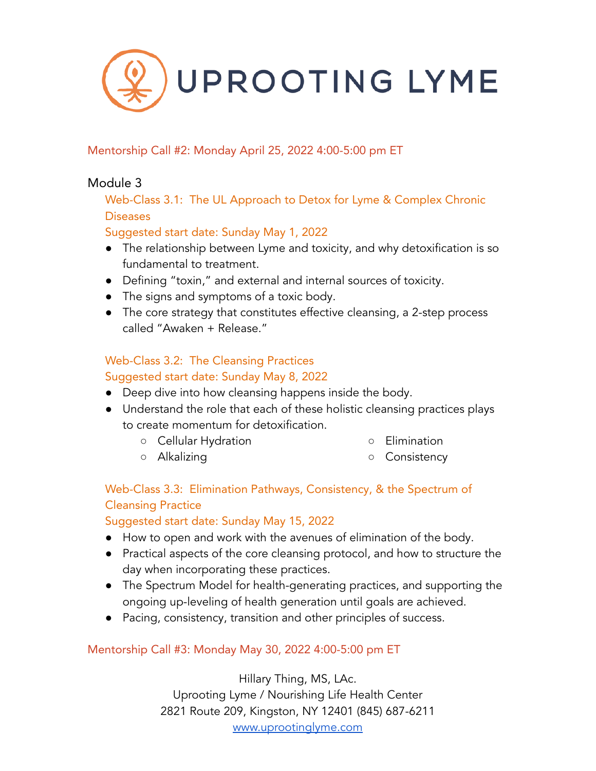

### Mentorship Call #2: Monday April 25, 2022 4:00-5:00 pm ET

# Module 3

Web-Class 3.1: The UL Approach to Detox for Lyme & Complex Chronic Diseases

### Suggested start date: Sunday May 1, 2022

- The relationship between Lyme and toxicity, and why detoxification is so fundamental to treatment.
- Defining "toxin," and external and internal sources of toxicity.
- The signs and symptoms of a toxic body.
- The core strategy that constitutes effective cleansing, a 2-step process called "Awaken + Release."

# Web-Class 3.2: The Cleansing Practices

### Suggested start date: Sunday May 8, 2022

- Deep dive into how cleansing happens inside the body.
- Understand the role that each of these holistic cleansing practices plays to create momentum for detoxification.
	- Cellular Hydration

○ Elimination

○ Alkalizing

○ Consistency

# Web-Class 3.3: Elimination Pathways, Consistency, & the Spectrum of Cleansing Practice

### Suggested start date: Sunday May 15, 2022

- How to open and work with the avenues of elimination of the body.
- Practical aspects of the core cleansing protocol, and how to structure the day when incorporating these practices.
- The Spectrum Model for health-generating practices, and supporting the ongoing up-leveling of health generation until goals are achieved.
- Pacing, consistency, transition and other principles of success.

# Mentorship Call #3: Monday May 30, 2022 4:00-5:00 pm ET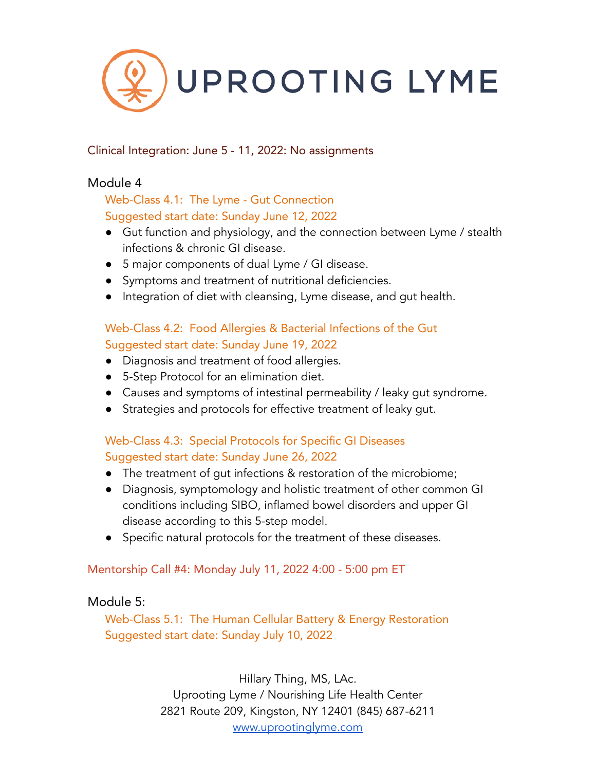

### Clinical Integration: June 5 - 11, 2022: No assignments

### Module 4

### Web-Class 4.1: The Lyme - Gut Connection Suggested start date: Sunday June 12, 2022

- Gut function and physiology, and the connection between Lyme / stealth infections & chronic GI disease.
- 5 major components of dual Lyme / GI disease.
- Symptoms and treatment of nutritional deficiencies.
- Integration of diet with cleansing, Lyme disease, and gut health.

### Web-Class 4.2: Food Allergies & Bacterial Infections of the Gut Suggested start date: Sunday June 19, 2022

- Diagnosis and treatment of food allergies.
- 5-Step Protocol for an elimination diet.
- Causes and symptoms of intestinal permeability / leaky gut syndrome.
- Strategies and protocols for effective treatment of leaky gut.

### Web-Class 4.3: Special Protocols for Specific GI Diseases Suggested start date: Sunday June 26, 2022

- The treatment of gut infections & restoration of the microbiome;
- Diagnosis, symptomology and holistic treatment of other common GI conditions including SIBO, inflamed bowel disorders and upper GI disease according to this 5-step model.
- Specific natural protocols for the treatment of these diseases.

### Mentorship Call #4: Monday July 11, 2022 4:00 - 5:00 pm ET

### Module 5:

Web-Class 5.1: The Human Cellular Battery & Energy Restoration Suggested start date: Sunday July 10, 2022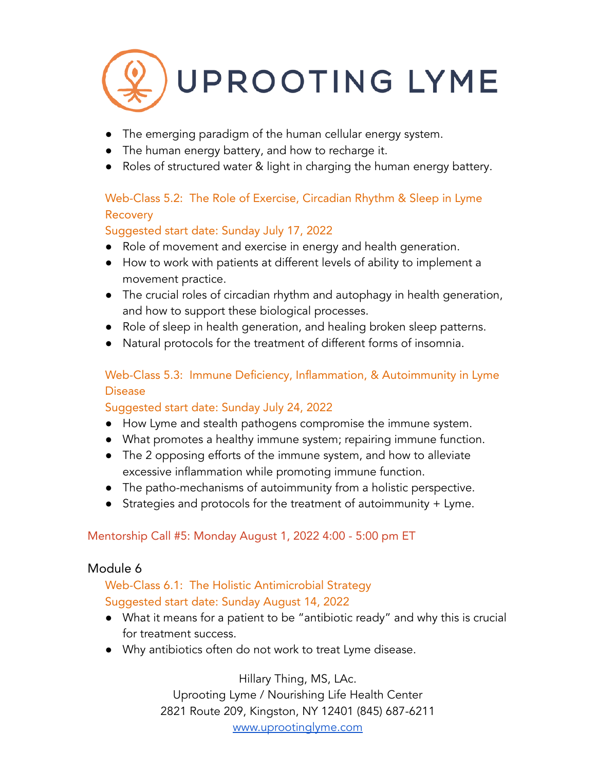

- The emerging paradigm of the human cellular energy system.
- The human energy battery, and how to recharge it.
- Roles of structured water & light in charging the human energy battery.

# Web-Class 5.2: The Role of Exercise, Circadian Rhythm & Sleep in Lyme **Recovery**

# Suggested start date: Sunday July 17, 2022

- Role of movement and exercise in energy and health generation.
- How to work with patients at different levels of ability to implement a movement practice.
- The crucial roles of circadian rhythm and autophagy in health generation, and how to support these biological processes.
- Role of sleep in health generation, and healing broken sleep patterns.
- Natural protocols for the treatment of different forms of insomnia.

# Web-Class 5.3: Immune Deficiency, Inflammation, & Autoimmunity in Lyme Disease

# Suggested start date: Sunday July 24, 2022

- How Lyme and stealth pathogens compromise the immune system.
- What promotes a healthy immune system; repairing immune function.
- The 2 opposing efforts of the immune system, and how to alleviate excessive inflammation while promoting immune function.
- The patho-mechanisms of autoimmunity from a holistic perspective.
- Strategies and protocols for the treatment of autoimmunity + Lyme.

# Mentorship Call #5: Monday August 1, 2022 4:00 - 5:00 pm ET

# Module 6

# Web-Class 6.1: The Holistic Antimicrobial Strategy Suggested start date: Sunday August 14, 2022

- What it means for a patient to be "antibiotic ready" and why this is crucial for treatment success.
- Why antibiotics often do not work to treat Lyme disease.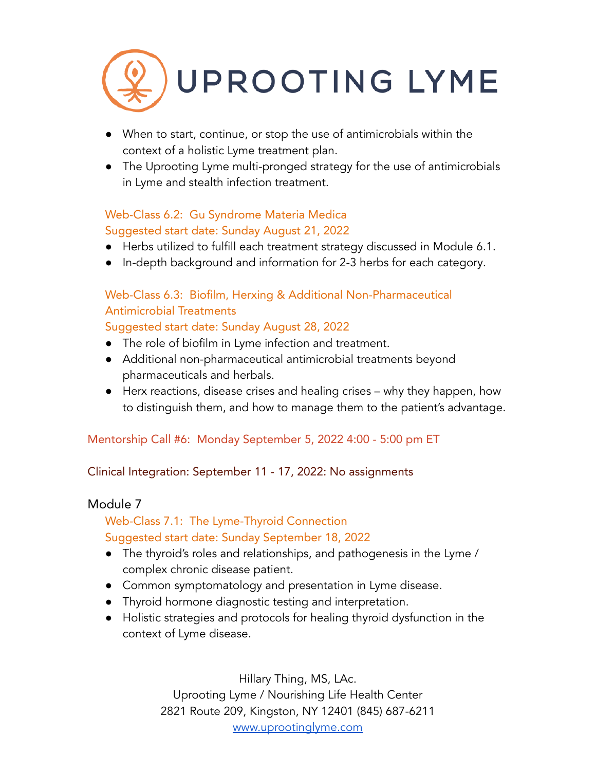

- When to start, continue, or stop the use of antimicrobials within the context of a holistic Lyme treatment plan.
- The Uprooting Lyme multi-pronged strategy for the use of antimicrobials in Lyme and stealth infection treatment.

# Web-Class 6.2: Gu Syndrome Materia Medica Suggested start date: Sunday August 21, 2022

- Herbs utilized to fulfill each treatment strategy discussed in Module 6.1.
- In-depth background and information for 2-3 herbs for each category.

# Web-Class 6.3: Biofilm, Herxing & Additional Non-Pharmaceutical Antimicrobial Treatments

### Suggested start date: Sunday August 28, 2022

- The role of biofilm in Lyme infection and treatment.
- Additional non-pharmaceutical antimicrobial treatments beyond pharmaceuticals and herbals.
- Herx reactions, disease crises and healing crises why they happen, how to distinguish them, and how to manage them to the patient's advantage.

# Mentorship Call #6: Monday September 5, 2022 4:00 - 5:00 pm ET

# Clinical Integration: September 11 - 17, 2022: No assignments

# Module 7

# Web-Class 7.1: The Lyme-Thyroid Connection Suggested start date: Sunday September 18, 2022

- The thyroid's roles and relationships, and pathogenesis in the Lyme / complex chronic disease patient.
- Common symptomatology and presentation in Lyme disease.
- Thyroid hormone diagnostic testing and interpretation.
- Holistic strategies and protocols for healing thyroid dysfunction in the context of Lyme disease.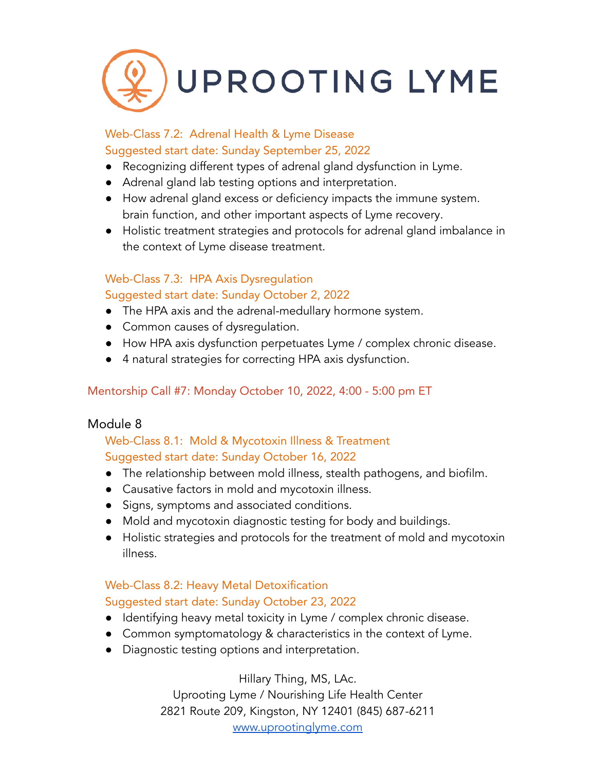

### Web-Class 7.2: Adrenal Health & Lyme Disease Suggested start date: Sunday September 25, 2022

- Recognizing different types of adrenal gland dysfunction in Lyme.
- Adrenal gland lab testing options and interpretation.
- How adrenal gland excess or deficiency impacts the immune system. brain function, and other important aspects of Lyme recovery.
- Holistic treatment strategies and protocols for adrenal gland imbalance in the context of Lyme disease treatment.

# Web-Class 7.3: HPA Axis Dysregulation

### Suggested start date: Sunday October 2, 2022

- The HPA axis and the adrenal-medullary hormone system.
- Common causes of dysregulation.
- How HPA axis dysfunction perpetuates Lyme / complex chronic disease.
- 4 natural strategies for correcting HPA axis dysfunction.

# Mentorship Call #7: Monday October 10, 2022, 4:00 - 5:00 pm ET

# Module 8

# Web-Class 8.1: Mold & Mycotoxin Illness & Treatment Suggested start date: Sunday October 16, 2022

- The relationship between mold illness, stealth pathogens, and biofilm.
- Causative factors in mold and mycotoxin illness.
- Signs, symptoms and associated conditions.
- Mold and mycotoxin diagnostic testing for body and buildings.
- Holistic strategies and protocols for the treatment of mold and mycotoxin illness.

# Web-Class 8.2: Heavy Metal Detoxification

# Suggested start date: Sunday October 23, 2022

- Identifying heavy metal toxicity in Lyme / complex chronic disease.
- Common symptomatology & characteristics in the context of Lyme.
- Diagnostic testing options and interpretation.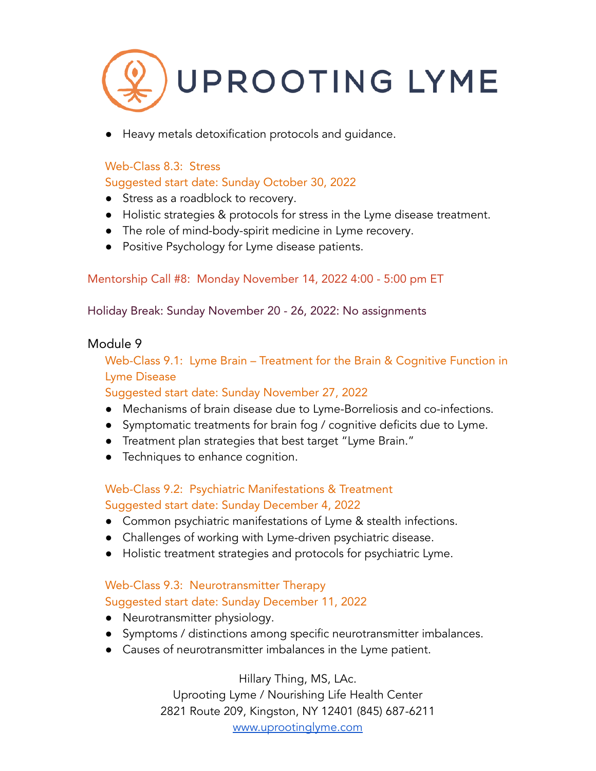

Heavy metals detoxification protocols and quidance.

#### Web-Class 8.3: Stress

### Suggested start date: Sunday October 30, 2022

- Stress as a roadblock to recovery.
- Holistic strategies & protocols for stress in the Lyme disease treatment.
- The role of mind-body-spirit medicine in Lyme recovery.
- Positive Psychology for Lyme disease patients.

### Mentorship Call #8: Monday November 14, 2022 4:00 - 5:00 pm ET

Holiday Break: Sunday November 20 - 26, 2022: No assignments

### Module 9

Web-Class 9.1: Lyme Brain – Treatment for the Brain & Cognitive Function in Lyme Disease

#### Suggested start date: Sunday November 27, 2022

- Mechanisms of brain disease due to Lyme-Borreliosis and co-infections.
- Symptomatic treatments for brain fog / cognitive deficits due to Lyme.
- Treatment plan strategies that best target "Lyme Brain."
- Techniques to enhance cognition.

### Web-Class 9.2: Psychiatric Manifestations & Treatment Suggested start date: Sunday December 4, 2022

- Common psychiatric manifestations of Lyme & stealth infections.
- Challenges of working with Lyme-driven psychiatric disease.
- Holistic treatment strategies and protocols for psychiatric Lyme.

### Web-Class 9.3: Neurotransmitter Therapy Suggested start date: Sunday December 11, 2022

- Neurotransmitter physiology.
- Symptoms / distinctions among specific neurotransmitter imbalances.
- Causes of neurotransmitter imbalances in the Lyme patient.